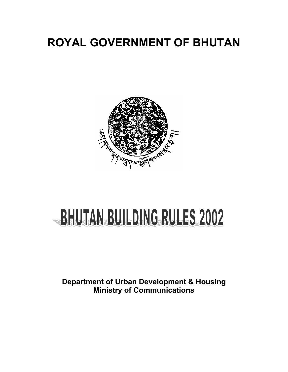## **ROYAL GOVERNMENT OF BHUTAN**



# BHUTAN BUILDING RULES 2002

**Department of Urban Development & Housing Ministry of Communications**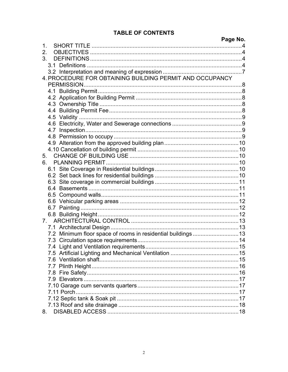#### **TABLE OF CONTENTS**

|                                                               | Page No. |
|---------------------------------------------------------------|----------|
| 1                                                             |          |
| 2.                                                            |          |
| 3.                                                            |          |
|                                                               |          |
|                                                               |          |
| 4. PROCEDURE FOR OBTAINING BUILDING PERMIT AND OCCUPANCY      |          |
|                                                               |          |
|                                                               |          |
|                                                               |          |
|                                                               |          |
|                                                               |          |
|                                                               |          |
|                                                               |          |
|                                                               |          |
|                                                               |          |
|                                                               |          |
|                                                               |          |
| 5.                                                            |          |
| 6.                                                            |          |
|                                                               |          |
|                                                               |          |
|                                                               |          |
|                                                               |          |
|                                                               |          |
|                                                               |          |
|                                                               |          |
|                                                               |          |
|                                                               |          |
|                                                               |          |
| 7.2 Minimum floor space of rooms in residential buildings  13 |          |
|                                                               |          |
|                                                               |          |
|                                                               |          |
|                                                               |          |
|                                                               |          |
|                                                               |          |
|                                                               |          |
|                                                               |          |
|                                                               |          |
|                                                               |          |
|                                                               |          |
| 8.                                                            |          |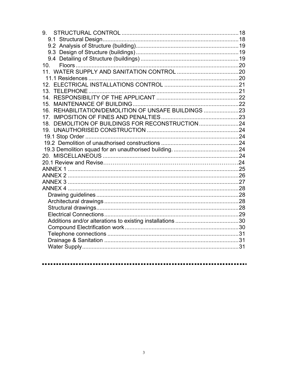| 9.                                                   |  |
|------------------------------------------------------|--|
|                                                      |  |
|                                                      |  |
|                                                      |  |
|                                                      |  |
| 10.                                                  |  |
|                                                      |  |
|                                                      |  |
|                                                      |  |
|                                                      |  |
|                                                      |  |
|                                                      |  |
| 16. REHABILITATION/DEMOLITION OF UNSAFE BUILDINGS 23 |  |
|                                                      |  |
| 18. DEMOLITION OF BUILDINGS FOR RECONSTRUCTION 24    |  |
|                                                      |  |
|                                                      |  |
|                                                      |  |
|                                                      |  |
|                                                      |  |
|                                                      |  |
|                                                      |  |
|                                                      |  |
|                                                      |  |
|                                                      |  |
|                                                      |  |
|                                                      |  |
|                                                      |  |
|                                                      |  |
|                                                      |  |
|                                                      |  |
|                                                      |  |
|                                                      |  |
|                                                      |  |
|                                                      |  |

#### . . . . . . . . . . . . . . . . . .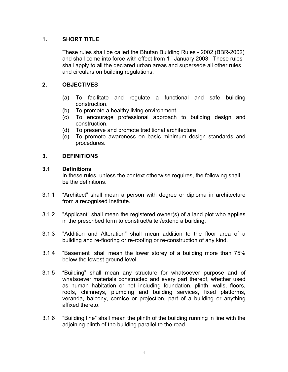#### **1. SHORT TITLE**

These rules shall be called the Bhutan Building Rules - 2002 (BBR-2002) and shall come into force with effect from  $1<sup>st</sup>$  January 2003. These rules shall apply to all the declared urban areas and supersede all other rules and circulars on building regulations.

#### **2. OBJECTIVES**

- (a) To facilitate and regulate a functional and safe building construction.
- (b) To promote a healthy living environment.
- (c) To encourage professional approach to building design and construction.
- (d) To preserve and promote traditional architecture.
- (e) To promote awareness on basic minimum design standards and procedures.

#### **3. DEFINITIONS**

#### **3.1 Definitions**

In these rules, unless the context otherwise requires, the following shall be the definitions.

- 3.1.1 "Architect" shall mean a person with degree or diploma in architecture from a recognised Institute.
- 3.1.2 "Applicant" shall mean the registered owner(s) of a land plot who applies in the prescribed form to construct/alter/extend a building.
- 3.1.3 "Addition and Alteration" shall mean addition to the floor area of a building and re-flooring or re-roofing or re-construction of any kind.
- 3.1.4 "Basement" shall mean the lower storey of a building more than 75% below the lowest ground level.
- 3.1.5 "Building" shall mean any structure for whatsoever purpose and of whatsoever materials constructed and every part thereof, whether used as human habitation or not including foundation, plinth, walls, floors, roofs, chimneys, plumbing and building services, fixed platforms, veranda, balcony, cornice or projection, part of a building or anything affixed thereto.
- 3.1.6 "Building line" shall mean the plinth of the building running in line with the adjoining plinth of the building parallel to the road.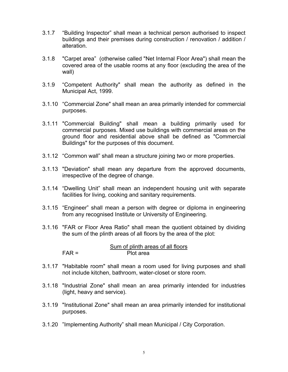- 3.1.7 "Building Inspector" shall mean a technical person authorised to inspect buildings and their premises during construction / renovation / addition / alteration.
- 3.1.8 "Carpet area" (otherwise called "Net Internal Floor Area") shall mean the covered area of the usable rooms at any floor (excluding the area of the wall)
- 3.1.9 "Competent Authority" shall mean the authority as defined in the Municipal Act, 1999.
- 3.1.10 "Commercial Zone" shall mean an area primarily intended for commercial purposes.
- 3.1.11 "Commercial Building" shall mean a building primarily used for commercial purposes. Mixed use buildings with commercial areas on the ground floor and residential above shall be defined as "Commercial Buildings" for the purposes of this document.
- 3.1.12 "Common wall" shall mean a structure joining two or more properties.
- 3.1.13 "Deviation" shall mean any departure from the approved documents, irrespective of the degree of change.
- 3.1.14 "Dwelling Unit" shall mean an independent housing unit with separate facilities for living, cooking and sanitary requirements.
- 3.1.15 "Engineer" shall mean a person with degree or diploma in engineering from any recognised Institute or University of Engineering.
- 3.1.16 "FAR or Floor Area Ratio" shall mean the quotient obtained by dividing the sum of the plinth areas of all floors by the area of the plot:

Sum of plinth areas of all floors FAR = Plot area

- 3.1.17 "Habitable room" shall mean a room used for living purposes and shall not include kitchen, bathroom, water-closet or store room.
- 3.1.18 "Industrial Zone" shall mean an area primarily intended for industries (light, heavy and service).
- 3.1.19 "Institutional Zone" shall mean an area primarily intended for institutional purposes.
- 3.1.20 "Implementing Authority" shall mean Municipal / City Corporation.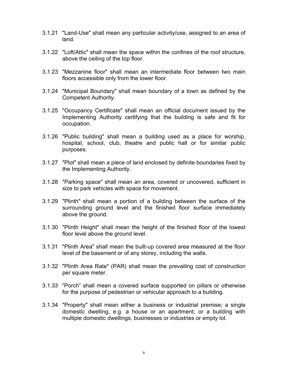- 3.1.21 "Land-Use" shall mean any particular activity/use, assigned to an area of land.
- 3.1.22 "Loft/Attic" shall mean the space within the confines of the roof structure, above the ceiling of the top floor.
- 3.1.23 "Mezzanine floor" shall mean an intermediate floor between two main floors accessible only from the lower floor.
- 3.1.24 "Municipal Boundary" shall mean boundary of a town as defined by the Competent Authority.
- 3.1.25 "Occupancy Certificate" shall mean an official document issued by the Implementing Authority certifying that the building is safe and fit for occupation.
- 3.1.26 "Public building" shall mean a building used as a place for worship, hospital, school, club, theatre and public hall or for similar public purposes.
- 3.1.27 "Plot" shall mean a piece of land enclosed by definite boundaries fixed by the Implementing Authority.
- 3.1.28 "Parking space" shall mean an area, covered or uncovered, sufficient in size to park vehicles with space for movement.
- 3.1.29 "Plinth" shall mean a portion of a building between the surface of the surrounding ground level and the finished floor surface immediately above the ground.
- 3.1.30 "Plinth Height" shall mean the height of the finished floor of the lowest floor level above the ground level.
- 3.1.31 "Plinth Area" shall mean the built-up covered area measured at the floor level of the basement or of any storey, including the walls.
- 3.1.32 "Plinth Area Rate" (PAR) shall mean the prevailing cost of construction per square meter.
- 3.1.33 "Porch" shall mean a covered surface supported on pillars or otherwise for the purpose of pedestrian or vehicular approach to a building.
- 3.1.34 "Property" shall mean either a business or industrial premise; a single domestic dwelling, e.g. a house or an apartment; or a building with multiple domestic dwellings, businesses or industries or empty lot.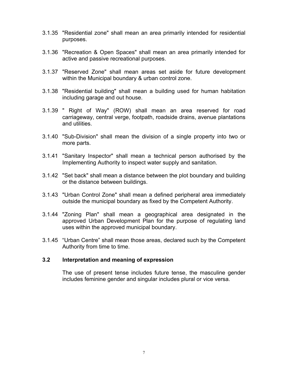- 3.1.35 "Residential zone" shall mean an area primarily intended for residential purposes.
- 3.1.36 "Recreation & Open Spaces" shall mean an area primarily intended for active and passive recreational purposes.
- 3.1.37 "Reserved Zone" shall mean areas set aside for future development within the Municipal boundary & urban control zone.
- 3.1.38 "Residential building" shall mean a building used for human habitation including garage and out house.
- 3.1.39 " Right of Way" (ROW) shall mean an area reserved for road carriageway, central verge, footpath, roadside drains, avenue plantations and utilities.
- 3.1.40 "Sub-Division" shall mean the division of a single property into two or more parts.
- 3.1.41 "Sanitary Inspector" shall mean a technical person authorised by the Implementing Authority to inspect water supply and sanitation.
- 3.1.42 "Set back" shall mean a distance between the plot boundary and building or the distance between buildings.
- 3.1.43 "Urban Control Zone" shall mean a defined peripheral area immediately outside the municipal boundary as fixed by the Competent Authority.
- 3.1.44 "Zoning Plan" shall mean a geographical area designated in the approved Urban Development Plan for the purpose of regulating land uses within the approved municipal boundary.
- 3.1.45 "Urban Centre" shall mean those areas, declared such by the Competent Authority from time to time.

#### **3.2 Interpretation and meaning of expression**

The use of present tense includes future tense, the masculine gender includes feminine gender and singular includes plural or vice versa.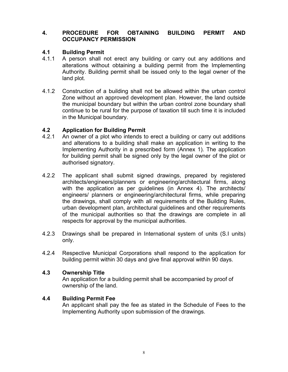#### **4. PROCEDURE FOR OBTAINING BUILDING PERMIT AND OCCUPANCY PERMISSION**

#### **4.1 Building Permit**

- 4.1.1 A person shall not erect any building or carry out any additions and alterations without obtaining a building permit from the Implementing Authority. Building permit shall be issued only to the legal owner of the land plot.
- 4.1.2 Construction of a building shall not be allowed within the urban control Zone without an approved development plan. However, the land outside the municipal boundary but within the urban control zone boundary shall continue to be rural for the purpose of taxation till such time it is included in the Municipal boundary.

#### **4.2 Application for Building Permit**

- 4.2.1 An owner of a plot who intends to erect a building or carry out additions and alterations to a building shall make an application in writing to the Implementing Authority in a prescribed form (Annex 1). The application for building permit shall be signed only by the legal owner of the plot or authorised signatory.
- 4.2.2 The applicant shall submit signed drawings, prepared by registered architects/engineers/planners or engineering/architectural firms, along with the application as per guidelines (in Annex 4). The architects/ engineers/ planners or engineering/architectural firms, while preparing the drawings, shall comply with all requirements of the Building Rules, urban development plan, architectural guidelines and other requirements of the municipal authorities so that the drawings are complete in all respects for approval by the municipal authorities.
- 4.2.3 Drawings shall be prepared in International system of units (S.I units) only.
- 4.2.4 Respective Municipal Corporations shall respond to the application for building permit within 30 days and give final approval within 90 days.

#### **4.3 Ownership Title**

An application for a building permit shall be accompanied by proof of ownership of the land.

#### **4.4 Building Permit Fee**

An applicant shall pay the fee as stated in the Schedule of Fees to the Implementing Authority upon submission of the drawings.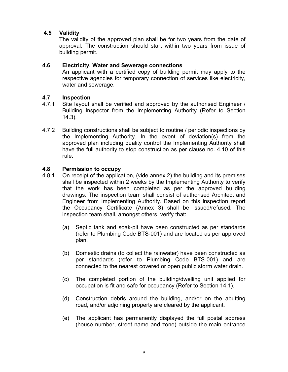#### **4.5 Validity**

The validity of the approved plan shall be for two years from the date of approval. The construction should start within two years from issue of building permit.

#### **4.6 Electricity, Water and Sewerage connections**

An applicant with a certified copy of building permit may apply to the respective agencies for temporary connection of services like electricity, water and sewerage.

#### **4.7 Inspection**

- 4.7.1 Site layout shall be verified and approved by the authorised Engineer / Building Inspector from the Implementing Authority (Refer to Section 14.3).
- 4.7.2 Building constructions shall be subject to routine / periodic inspections by the Implementing Authority. In the event of deviation(s) from the approved plan including quality control the Implementing Authority shall have the full authority to stop construction as per clause no. 4.10 of this rule.

#### **4.8 Permission to occupy**

- 4.8.1 On receipt of the application, (vide annex 2) the building and its premises shall be inspected within 2 weeks by the Implementing Authority to verify that the work has been completed as per the approved building drawings. The inspection team shall consist of authorised Architect and Engineer from Implementing Authority. Based on this inspection report the Occupancy Certificate (Annex 3) shall be issued/refused. The inspection team shall, amongst others, verify that:
	- (a) Septic tank and soak-pit have been constructed as per standards (refer to Plumbing Code BTS-001) and are located as per approved plan.
	- (b) Domestic drains (to collect the rainwater) have been constructed as per standards (refer to Plumbing Code BTS-001) and are connected to the nearest covered or open public storm water drain.
	- (c) The completed portion of the building/dwelling unit applied for occupation is fit and safe for occupancy (Refer to Section 14.1).
	- (d) Construction debris around the building, and/or on the abutting road, and/or adjoining property are cleared by the applicant.
	- (e) The applicant has permanently displayed the full postal address (house number, street name and zone) outside the main entrance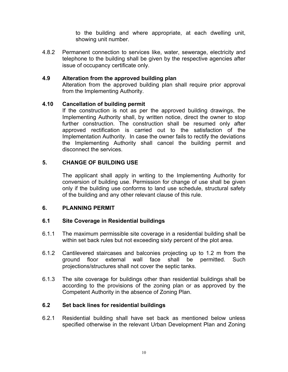to the building and where appropriate, at each dwelling unit, showing unit number.

4.8.2 Permanent connection to services like, water, sewerage, electricity and telephone to the building shall be given by the respective agencies after issue of occupancy certificate only.

#### **4.9 Alteration from the approved building plan**

Alteration from the approved building plan shall require prior approval from the Implementing Authority.

#### **4.10 Cancellation of building permit**

If the construction is not as per the approved building drawings, the Implementing Authority shall, by written notice, direct the owner to stop further construction. The construction shall be resumed only after approved rectification is carried out to the satisfaction of the Implementation Authority. In case the owner fails to rectify the deviations the Implementing Authority shall cancel the building permit and disconnect the services.

#### **5. CHANGE OF BUILDING USE**

The applicant shall apply in writing to the Implementing Authority for conversion of building use. Permission for change of use shall be given only if the building use conforms to land use schedule, structural safety of the building and any other relevant clause of this rule.

#### **6. PLANNING PERMIT**

#### **6.1 Site Coverage in Residential buildings**

- 6.1.1 The maximum permissible site coverage in a residential building shall be within set back rules but not exceeding sixty percent of the plot area.
- 6.1.2 Cantilevered staircases and balconies projecting up to 1.2 m from the ground floor external wall face shall be permitted. Such projections/structures shall not cover the septic tanks.
- 6.1.3 The site coverage for buildings other than residential buildings shall be according to the provisions of the zoning plan or as approved by the Competent Authority in the absence of Zoning Plan.

#### **6.2 Set back lines for residential buildings**

6.2.1 Residential building shall have set back as mentioned below unless specified otherwise in the relevant Urban Development Plan and Zoning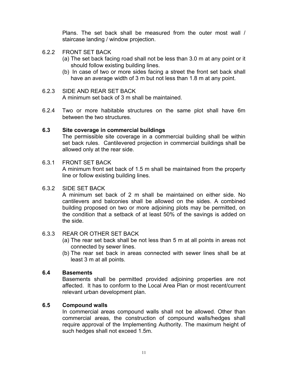Plans. The set back shall be measured from the outer most wall / staircase landing / window projection.

- 6.2.2 FRONT SET BACK
	- (a) The set back facing road shall not be less than 3.0 m at any point or it should follow existing building lines.
	- (b) In case of two or more sides facing a street the front set back shall have an average width of 3 m but not less than 1.8 m at any point.

#### 6.2.3 SIDE AND REAR SET BACK A minimum set back of 3 m shall be maintained.

6.2.4 Two or more habitable structures on the same plot shall have 6m between the two structures.

#### **6.3 Site coverage in commercial buildings**

The permissible site coverage in a commercial building shall be within set back rules. Cantilevered projection in commercial buildings shall be allowed only at the rear side.

#### 6.3.1 FRONT SET BACK

A minimum front set back of 1.5 m shall be maintained from the property line or follow existing building lines.

#### 6.3.2 SIDE SET BACK

A minimum set back of 2 m shall be maintained on either side. No cantilevers and balconies shall be allowed on the sides. A combined building proposed on two or more adjoining plots may be permitted, on the condition that a setback of at least 50% of the savings is added on the side.

#### 6.3.3 REAR OR OTHER SET BACK

- (a) The rear set back shall be not less than 5 m at all points in areas not connected by sewer lines.
- (b) The rear set back in areas connected with sewer lines shall be at least 3 m at all points.

#### **6.4 Basements**

Basements shall be permitted provided adjoining properties are not affected. It has to conform to the Local Area Plan or most recent/current relevant urban development plan.

#### **6.5 Compound walls**

In commercial areas compound walls shall not be allowed. Other than commercial areas, the construction of compound walls/hedges shall require approval of the Implementing Authority. The maximum height of such hedges shall not exceed 1.5m.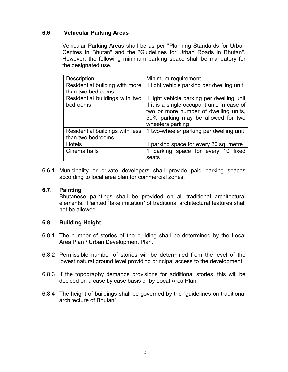#### **6.6 Vehicular Parking Areas**

Vehicular Parking Areas shall be as per "Planning Standards for Urban Centres in Bhutan" and the "Guidelines for Urban Roads in Bhutan". However, the following minimum parking space shall be mandatory for the designated use.

| <b>Description</b>              | Minimum requirement                         |
|---------------------------------|---------------------------------------------|
| Residential building with more  | 1 light vehicle parking per dwelling unit   |
| than two bedrooms               |                                             |
| Residential buildings with two  | 1 light vehicle parking per dwelling unit   |
| bedrooms                        | if it is a single occupant unit. In case of |
|                                 | two or more number of dwelling units,       |
|                                 | 50% parking may be allowed for two          |
|                                 | wheelers parking                            |
| Residential buildings with less | 1 two-wheeler parking per dwelling unit     |
| than two bedrooms               |                                             |
| <b>Hotels</b>                   | 1 parking space for every 30 sq. metre      |
| Cinema halls                    | parking space for every 10 fixed            |
|                                 | seats                                       |

6.6.1 Municipality or private developers shall provide paid parking spaces according to local area plan for commercial zones.

#### **6.7. Painting**

Bhutanese paintings shall be provided on all traditional architectural elements. Painted "fake imitation" of traditional architectural features shall not be allowed.

#### **6.8 Building Height**

- 6.8.1 The number of stories of the building shall be determined by the Local Area Plan / Urban Development Plan.
- 6.8.2 Permissible number of stories will be determined from the level of the lowest natural ground level providing principal access to the development.
- 6.8.3 If the topography demands provisions for additional stories, this will be decided on a case by case basis or by Local Area Plan.
- 6.8.4 The height of buildings shall be governed by the "guidelines on traditional architecture of Bhutan"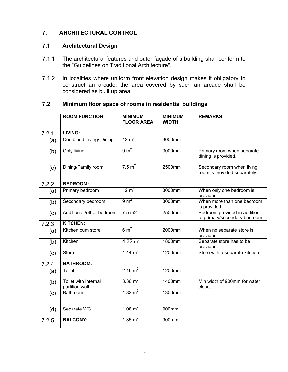#### **7. ARCHITECTURAL CONTROL**

#### **7.1 Architectural Design**

- 7.1.1 The architectural features and outer façade of a building shall conform to the "Guidelines on Traditional Architecture".
- 7.1.2 In localities where uniform front elevation design makes it obligatory to construct an arcade, the area covered by such an arcade shall be considered as built up area.

#### **7.2 Minimum floor space of rooms in residential buildings**

|       | <b>ROOM FUNCTION</b>                   | <b>MINIMUM</b><br><b>FLOOR AREA</b> | <b>MINIMUM</b><br><b>WIDTH</b> | <b>REMARKS</b>                                               |
|-------|----------------------------------------|-------------------------------------|--------------------------------|--------------------------------------------------------------|
| 7.2.1 | LIVING:                                |                                     |                                |                                                              |
| (a)   | <b>Combined Living/ Dining</b>         | $12 \text{ m}^2$                    | 3000mm                         |                                                              |
| (b)   | Only living.                           | 9 m <sup>2</sup>                    | 3000mm                         | Primary room when separate<br>dining is provided.            |
| (c)   | Dining/Family room                     | $7.5 \text{ m}^2$                   | 2500mm                         | Secondary room when living<br>room is provided separately    |
| 7.2.2 | <b>BEDROOM:</b>                        |                                     |                                |                                                              |
| (a)   | Primary bedroom                        | $12 \text{ m}^2$                    | 3000mm                         | When only one bedroom is<br>provided.                        |
| (b)   | Secondary bedroom                      | $9 \text{ m}^2$                     | 3000mm                         | When more than one bedroom<br>is provided.                   |
| (c)   | Additional /other bedroom              | $7.5 \text{ m2}$                    | 2500mm                         | Bedroom provided in addition<br>to primary/secondary bedroom |
| 7.2.3 | <b>KITCHEN:</b>                        |                                     |                                |                                                              |
| (a)   | Kitchen cum store                      | $6 \text{ m}^2$                     | 2000mm                         | When no separate store is<br>provided.                       |
| (b)   | Kitchen                                | 4.32 $m2$                           | 1800mm                         | Separate store has to be<br>provided.                        |
| (c)   | <b>Store</b>                           | 1.44 $m^2$                          | 1200mm                         | Store with a separate kitchen                                |
| 7.2.4 | <b>BATHROOM:</b>                       |                                     |                                |                                                              |
| (a)   | <b>Toilet</b>                          | 2.16 $m^2$                          | 1200mm                         |                                                              |
| (b)   | Toilet with internal<br>partition wall | 3.36 $m2$                           | 1400mm                         | Min width of 900mm for water<br>closet.                      |
| (c)   | Bathroom                               | 1.82 $m^2$                          | 1300mm                         |                                                              |
| (d)   | Separate WC                            | 1.08 $m^2$                          | 900mm                          |                                                              |
| 7.2.5 | <b>BALCONY:</b>                        | $1.35 \text{ m}^2$                  | 900mm                          |                                                              |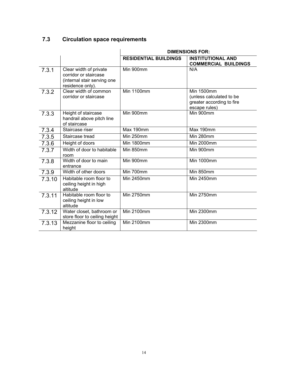### **7.3 Circulation space requirements**

|        |                                                                                                    | <b>DIMENSIONS FOR:</b>       |                                                                                             |  |  |  |
|--------|----------------------------------------------------------------------------------------------------|------------------------------|---------------------------------------------------------------------------------------------|--|--|--|
|        |                                                                                                    | <b>RESIDENTIAL BUILDINGS</b> | <b>INSTITUTIONAL AND</b><br><b>COMMERCIAL BUILDINGS</b>                                     |  |  |  |
| 7.3.1  | Clear width of private<br>corridor or staircase<br>(internal stair serving one<br>residence only). | Min 900mm                    | N/A                                                                                         |  |  |  |
| 7.3.2  | Clear width of common<br>corridor or staircase                                                     | <b>Min 1100mm</b>            | <b>Min 1500mm</b><br>(unless calculated to be<br>greater according to fire<br>escape rules) |  |  |  |
| 7.3.3  | Height of staircase<br>handrail above pitch line<br>of staircase                                   | Min 900mm                    | Min 900mm                                                                                   |  |  |  |
| 7.3.4  | Staircase riser                                                                                    | Max 190mm                    | Max 190mm                                                                                   |  |  |  |
| 7.3.5  | Staircase tread                                                                                    | Min 250mm                    | Min 280mm                                                                                   |  |  |  |
| 7.3.6  | Height of doors                                                                                    | <b>Min 1800mm</b>            | <b>Min 2000mm</b>                                                                           |  |  |  |
| 7.3.7  | Width of door to habitable<br>room                                                                 | Min 850mm                    | Min 900mm                                                                                   |  |  |  |
| 7.3.8  | Width of door to main<br>entrance                                                                  | Min 900mm                    | <b>Min 1000mm</b>                                                                           |  |  |  |
| 7.3.9  | Width of other doors                                                                               | Min 700mm                    | Min 850mm                                                                                   |  |  |  |
| 7.3.10 | Habitable room floor to<br>ceiling height in high<br>altitude                                      | Min 2450mm                   | Min 2450mm                                                                                  |  |  |  |
| 7.3.11 | Habitable room floor to<br>ceiling height in low<br>altitude                                       | <b>Min 2750mm</b>            | <b>Min 2750mm</b>                                                                           |  |  |  |
| 7.3.12 | Water closet, bathroom or<br>store floor to ceiling height                                         | Min 2100mm                   | <b>Min 2300mm</b>                                                                           |  |  |  |
| 7.3.13 | Mezzanine floor to ceiling<br>height                                                               | <b>Min 2100mm</b>            | <b>Min 2300mm</b>                                                                           |  |  |  |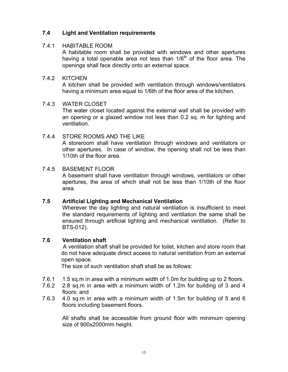#### **7.4 Light and Ventilation requirements**

#### 7.4.1 HABITABLE ROOM

A habitable room shall be provided with windows and other apertures having a total openable area not less than  $1/6<sup>th</sup>$  of the floor area. The openings shall face directly onto an external space.

#### 7.4.2 KITCHEN

A kitchen shall be provided with ventilation through windows/ventilators having a minimum area equal to 1/6th of the floor area of the kitchen.

#### 7.4.3 WATER CLOSET

The water closet located against the external wall shall be provided with an opening or a glazed window not less than 0.2 sq. m for lighting and ventilation.

#### 7.4.4 STORE ROOMS AND THE LIKE

A storeroom shall have ventilation through windows and ventilators or other apertures. In case of window, the opening shall not be less than 1/10th of the floor area.

#### 7.4.5 BASEMENT FLOOR

A basement shall have ventilation through windows, ventilators or other apertures, the area of which shall not be less than 1/10th of the floor area.

#### **7.5 Artificial Lighting and Mechanical Ventilation**

Wherever the day lighting and natural ventilation is insufficient to meet the standard requirements of lighting and ventilation the same shall be ensured through artificial lighting and mechanical ventilation. (Refer to BTS-012).

#### **7.6 Ventilation shaft**

 A ventilation shaft shall be provided for toilet, kitchen and store room that do not have adequate direct access to natural ventilation from an external open space.

The size of such ventilation shaft shall be as follows:

- 7.6.1 1.5 sq.m in area with a minimum width of 1.0m for building up to 2 floors.
- 7.6.2 2.8 sq.m in area with a minimum width of 1.2m for building of 3 and 4 floors: and
- 7.6.3 4.0 sq.m in area with a minimum width of 1.5m for building of 5 and 6 floors including basement floors.

All shafts shall be accessible from ground floor with minimum opening size of 900x2000mm height.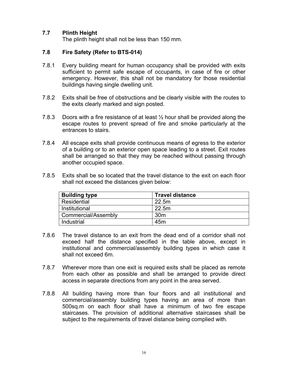#### **7.7 Plinth Height**

The plinth height shall not be less than 150 mm.

#### **7.8 Fire Safety (Refer to BTS-014)**

- 7.8.1 Every building meant for human occupancy shall be provided with exits sufficient to permit safe escape of occupants, in case of fire or other emergency. However, this shall not be mandatory for those residential buildings having single dwelling unit.
- 7.8.2 Exits shall be free of obstructions and be clearly visible with the routes to the exits clearly marked and sign posted.
- 7.8.3 Doors with a fire resistance of at least  $\frac{1}{2}$  hour shall be provided along the escape routes to prevent spread of fire and smoke particularly at the entrances to stairs.
- 7.8.4 All escape exits shall provide continuous means of egress to the exterior of a building or to an exterior open space leading to a street. Exit routes shall be arranged so that they may be reached without passing through another occupied space.
- 7.8.5 Exits shall be so located that the travel distance to the exit on each floor shall not exceed the distances given below:

| <b>Building type</b> | <b>Travel distance</b> |
|----------------------|------------------------|
| Residential          | 22.5m                  |
| Institutional        | 22.5m                  |
| Commercial/Assembly  | 30 <sub>m</sub>        |
| Industrial           | 45 <sub>m</sub>        |

- 7.8.6 The travel distance to an exit from the dead end of a corridor shall not exceed half the distance specified in the table above, except in institutional and commercial/assembly building types in which case it shall not exceed 6m.
- 7.8.7 Wherever more than one exit is required exits shall be placed as remote from each other as possible and shall be arranged to provide direct access in separate directions from any point in the area served.
- 7.8.8 All building having more than four floors and all institutional and commercial/assembly building types having an area of more than 500sq.m on each floor shall have a minimum of two fire escape staircases. The provision of additional alternative staircases shall be subject to the requirements of travel distance being complied with.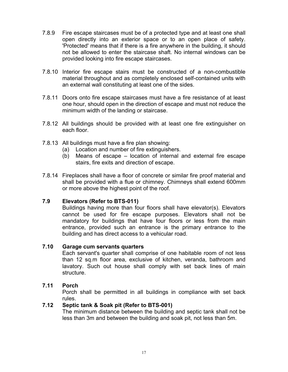- 7.8.9 Fire escape staircases must be of a protected type and at least one shall open directly into an exterior space or to an open place of safety. 'Protected' means that if there is a fire anywhere in the building, it should not be allowed to enter the staircase shaft. No internal windows can be provided looking into fire escape staircases.
- 7.8.10 Interior fire escape stairs must be constructed of a non-combustible material throughout and as completely enclosed self-contained units with an external wall constituting at least one of the sides.
- 7.8.11 Doors onto fire escape staircases must have a fire resistance of at least one hour, should open in the direction of escape and must not reduce the minimum width of the landing or staircase.
- 7.8.12 All buildings should be provided with at least one fire extinguisher on each floor.
- 7.8.13 All buildings must have a fire plan showing:
	- (a) Location and number of fire extinguishers.
	- (b) Means of escape location of internal and external fire escape stairs, fire exits and direction of escape.
- 7.8.14 Fireplaces shall have a floor of concrete or similar fire proof material and shall be provided with a flue or chimney. Chimneys shall extend 600mm or more above the highest point of the roof.

#### **7.9 Elevators (Refer to BTS-011)**

Buildings having more than four floors shall have elevator(s). Elevators cannot be used for fire escape purposes. Elevators shall not be mandatory for buildings that have four floors or less from the main entrance, provided such an entrance is the primary entrance to the building and has direct access to a vehicular road.

#### **7.10 Garage cum servants quarters**

Each servant's quarter shall comprise of one habitable room of not less than 12 sq.m floor area, exclusive of kitchen, veranda, bathroom and lavatory. Such out house shall comply with set back lines of main structure.

#### **7.11 Porch**

Porch shall be permitted in all buildings in compliance with set back rules.

#### **7.12 Septic tank & Soak pit (Refer to BTS-001)**

The minimum distance between the building and septic tank shall not be less than 3m and between the building and soak pit, not less than 5m.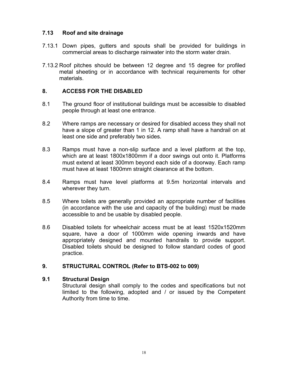#### **7.13 Roof and site drainage**

- 7.13.1 Down pipes, gutters and spouts shall be provided for buildings in commercial areas to discharge rainwater into the storm water drain.
- 7.13.2 Roof pitches should be between 12 degree and 15 degree for profiled metal sheeting or in accordance with technical requirements for other materials.

#### **8. ACCESS FOR THE DISABLED**

- 8.1 The ground floor of institutional buildings must be accessible to disabled people through at least one entrance.
- 8.2 Where ramps are necessary or desired for disabled access they shall not have a slope of greater than 1 in 12. A ramp shall have a handrail on at least one side and preferably two sides.
- 8.3 Ramps must have a non-slip surface and a level platform at the top, which are at least 1800x1800mm if a door swings out onto it. Platforms must extend at least 300mm beyond each side of a doorway. Each ramp must have at least 1800mm straight clearance at the bottom.
- 8.4 Ramps must have level platforms at 9.5m horizontal intervals and wherever they turn.
- 8.5 Where toilets are generally provided an appropriate number of facilities (in accordance with the use and capacity of the building) must be made accessible to and be usable by disabled people.
- 8.6 Disabled toilets for wheelchair access must be at least 1520x1520mm square, have a door of 1000mm wide opening inwards and have appropriately designed and mounted handrails to provide support. Disabled toilets should be designed to follow standard codes of good practice.

#### **9. STRUCTURAL CONTROL (Refer to BTS-002 to 009)**

#### **9.1 Structural Design**

Structural design shall comply to the codes and specifications but not limited to the following, adopted and / or issued by the Competent Authority from time to time.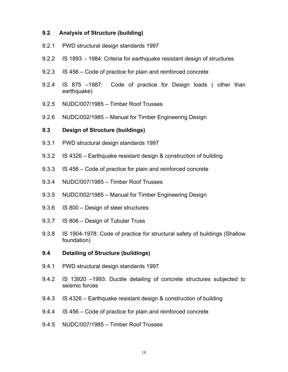#### **9.2 Analysis of Structure (building)**

- 9.2.1 PWD structural design standards 1997
- 9.2.2 IS 1893 1984: Criteria for earthquake resistant design of structures
- 9.2.3 IS 456 Code of practice for plain and reinforced concrete
- 9.2.4 IS 875 –1987: Code of practice for Design loads ( other than earthquake)
- 9.2.5 NUDC/007/1985 Timber Roof Trusses
- 9.2.6 NUDC/002/1985 Manual for Timber Engineering Design

#### **9.3 Design of Structure (buildings)**

- 9.3.1 PWD structural design standards 1997
- 9.3.2 IS 4326 Earthquake resistant design & construction of building
- 9.3.3 IS 456 Code of practice for plain and reinforced concrete
- 9.3.4 NUDC/007/1985 Timber Roof Trusses
- 9.3.5 NUDC/002/1985 Manual for Timber Engineering Design
- 9.3.6 IS 800 Design of steel structures
- 9.3.7 IS 806 Design of Tubular Truss
- 9.3.8 IS 1904-1978: Code of practice for structural safety of buildings (Shallow foundation)

#### **9.4 Detailing of Structure (buildings)**

- 9.4.1 PWD structural design standards 1997
- 9.4.2 IS 13920 –1993: Ductile detailing of concrete structures subjected to seismic forces
- 9.4.3 IS 4326 Earthquake resistant design & construction of building
- 9.4.4 IS 456 Code of practice for plain and reinforced concrete
- 9.4.5 NUDC/007/1985 Timber Roof Trusses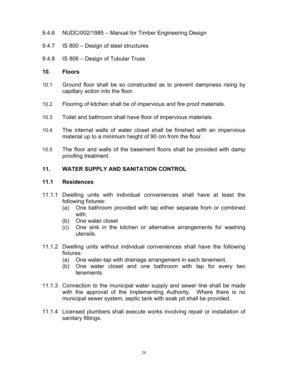- 9.4.6 NUDC/002/1985 Manual for Timber Engineering Design
- 9.4.7 IS 800 Design of steel structures
- 9.4.8 IS 806 Design of Tubular Truss
- **10. Floors**
- 10.1 Ground floor shall be so constructed as to prevent dampness rising by capillary action into the floor.
- 10.2 Flooring of kitchen shall be of impervious and fire proof materials.
- 10.3 Toilet and bathroom shall have floor of impervious materials.
- 10.4 The internal walls of water closet shall be finished with an impervious material up to a minimum height of 90 cm from the floor.
- 10.5 The floor and walls of the basement floors shall be provided with damp proofing treatment.

#### **11. WATER SUPPLY AND SANITATION CONTROL**

#### **11.1 Residences**

- 11.1.1 Dwelling units with individual conveniences shall have at least the following fixtures:
	- (a) One bathroom provided with tap either separate from or combined with,
	- (b) One water closet
	- (c) One sink in the kitchen or alternative arrangements for washing utensils.
- 11.1.2 Dwelling units without individual conveniences shall have the following fixtures:
	- (a) One water-tap with drainage arrangement in each tenement.
	- (b) One water closet and one bathroom with tap for every two tenements
- 11.1.3 Connection to the municipal water supply and sewer line shall be made with the approval of the Implementing Authority. Where there is no municipal sewer system, septic tank with soak pit shall be provided.
- 11.1.4 Licensed plumbers shall execute works involving repair or installation of sanitary fittings.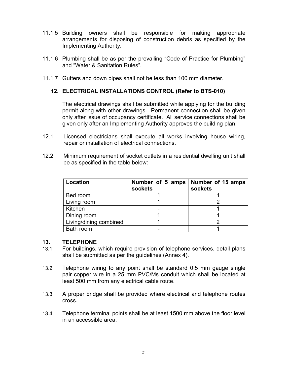- 11.1.5 Building owners shall be responsible for making appropriate arrangements for disposing of construction debris as specified by the Implementing Authority.
- 11.1.6 Plumbing shall be as per the prevailing "Code of Practice for Plumbing" and "Water & Sanitation Rules".
- 11.1.7 Gutters and down pipes shall not be less than 100 mm diameter.

#### **12. ELECTRICAL INSTALLATIONS CONTROL (Refer to BTS-010)**

The electrical drawings shall be submitted while applying for the building permit along with other drawings. Permanent connection shall be given only after issue of occupancy certificate. All service connections shall be given only after an Implementing Authority approves the building plan.

- 12.1 Licensed electricians shall execute all works involving house wiring, repair or installation of electrical connections.
- 12.2 Minimum requirement of socket outlets in a residential dwelling unit shall be as specified in the table below:

| Location               | Number of 5 amps<br>sockets | Number of 15 amps<br>sockets |
|------------------------|-----------------------------|------------------------------|
| Bed room               |                             |                              |
| Living room            |                             |                              |
| Kitchen                |                             |                              |
| Dining room            |                             |                              |
| Living/dining combined |                             |                              |
| Bath room              |                             |                              |

#### **13. TELEPHONE**

- 13.1 For buildings, which require provision of telephone services, detail plans shall be submitted as per the guidelines (Annex 4).
- 13.2 Telephone wiring to any point shall be standard 0.5 mm gauge single pair copper wire in a 25 mm PVC/Ms conduit which shall be located at least 500 mm from any electrical cable route.
- 13.3 A proper bridge shall be provided where electrical and telephone routes cross.
- 13.4 Telephone terminal points shall be at least 1500 mm above the floor level in an accessible area.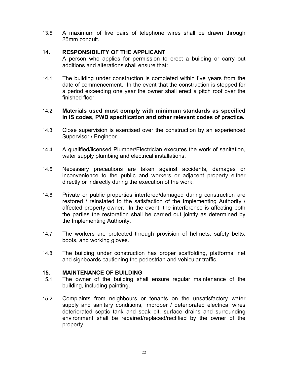13.5 A maximum of five pairs of telephone wires shall be drawn through 25mm conduit.

#### **14. RESPONSIBILITY OF THE APPLICANT**

A person who applies for permission to erect a building or carry out additions and alterations shall ensure that:

14.1 The building under construction is completed within five years from the date of commencement. In the event that the construction is stopped for a period exceeding one year the owner shall erect a pitch roof over the finished floor.

#### 14.2 **Materials used must comply with minimum standards as specified in IS codes, PWD specification and other relevant codes of practice.**

- 14.3 Close supervision is exercised over the construction by an experienced Supervisor / Engineer.
- 14.4 A qualified/licensed Plumber/Electrician executes the work of sanitation, water supply plumbing and electrical installations.
- 14.5 Necessary precautions are taken against accidents, damages or inconvenience to the public and workers or adjacent property either directly or indirectly during the execution of the work.
- 14.6 Private or public properties interfered/damaged during construction are restored / reinstated to the satisfaction of the Implementing Authority / affected property owner. In the event, the interference is affecting both the parties the restoration shall be carried out jointly as determined by the Implementing Authority.
- 14.7 The workers are protected through provision of helmets, safety belts, boots, and working gloves.
- 14.8 The building under construction has proper scaffolding, platforms, net and signboards cautioning the pedestrian and vehicular traffic.

#### **15. MAINTENANCE OF BUILDING**

- 15.1 The owner of the building shall ensure regular maintenance of the building, including painting.
- 15.2 Complaints from neighbours or tenants on the unsatisfactory water supply and sanitary conditions, improper / deteriorated electrical wires deteriorated septic tank and soak pit, surface drains and surrounding environment shall be repaired/replaced/rectified by the owner of the property.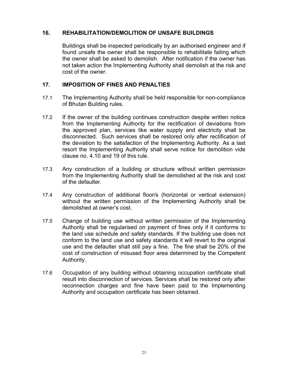#### **16. REHABILITATION/DEMOLITION OF UNSAFE BUILDINGS**

Buildings shall be inspected periodically by an authorised engineer and if found unsafe the owner shall be responsible to rehabilitate failing which the owner shall be asked to demolish. After notification if the owner has not taken action the Implementing Authority shall demolish at the risk and cost of the owner.

#### **17. IMPOSITION OF FINES AND PENALTIES**

- 17.1 The Implementing Authority shall be held responsible for non-compliance of Bhutan Building rules.
- 17.2 If the owner of the building continues construction despite written notice from the Implementing Authority for the rectification of deviations from the approved plan, services like water supply and electricity shall be disconnected. Such services shall be restored only after rectification of the deviation to the satisfaction of the Implementing Authority. As a last resort the Implementing Authority shall serve notice for demolition vide clause no. 4.10 and 19 of this rule.
- 17.3 Any construction of a building or structure without written permission from the Implementing Authority shall be demolished at the risk and cost of the defaulter.
- 17.4 Any construction of additional floor/s (horizontal or vertical extension) without the written permission of the Implementing Authority shall be demolished at owner's cost.
- 17.5 Change of building use without written permission of the Implementing Authority shall be regularised on payment of fines only if it conforms to the land use schedule and safety standards. If the building use does not conform to the land use and safety standards it will revert to the original use and the defaulter shall still pay a fine. The fine shall be 20% of the cost of construction of misused floor area determined by the Competent Authority.
- 17.6 Occupation of any building without obtaining occupation certificate shall result into disconnection of services. Services shall be restored only after reconnection charges and fine have been paid to the Implementing Authority and occupation certificate has been obtained.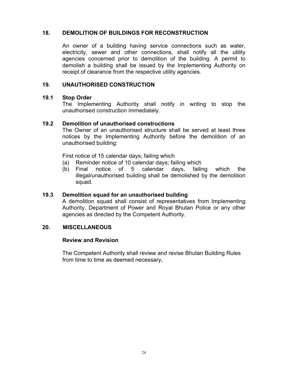#### **18. DEMOLITION OF BUILDINGS FOR RECONSTRUCTION**

An owner of a building having service connections such as water, electricity, sewer and other connections, shall notify all the utility agencies concerned prior to demolition of the building. A permit to demolish a building shall be issued by the Implementing Authority on receipt of clearance from the respective utility agencies.

#### **19. UNAUTHORISED CONSTRUCTION**

#### **19.1 Stop Order**

The Implementing Authority shall notify in writing to stop the unauthorised construction immediately.

#### **19.2 Demolition of unauthorised constructions**

The Owner of an unauthorised structure shall be served at least three notices by the Implementing Authority before the demolition of an unauthorised building:

First notice of 15 calendar days; failing which

- (a) Reminder notice of 10 calendar days; failing which
- (b) Final notice of 5 calendar days, failing which the illegal/unauthorised building shall be demolished by the demolition squad.

#### **19.3 Demolition squad for an unauthorised building**

A demolition squad shall consist of representatives from Implementing Authority, Department of Power and Royal Bhutan Police or any other agencies as directed by the Competent Authority.

#### **20. MISCELLANEOUS**

#### **Review and Revision**

The Competent Authority shall review and revise Bhutan Building Rules from time to time as deemed necessary**.**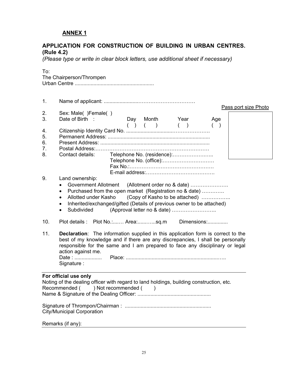#### **ANNEX 1**

#### **APPLICATION FOR CONSTRUCTION OF BUILDING IN URBAN CENTRES. (Rule 4.2)**

*(Please type or write in clear block letters, use additional sheet if necessary)* 

| To: | The Chairperson/Thrompen                                                                           |                     |       |           |                                |     |                      |  |
|-----|----------------------------------------------------------------------------------------------------|---------------------|-------|-----------|--------------------------------|-----|----------------------|--|
| 1.  |                                                                                                    |                     |       |           |                                |     |                      |  |
| 2.  | Sex: Male() Female()                                                                               |                     |       |           |                                |     | Pass port size Photo |  |
| 3.  | Date of Birth :                                                                                    |                     |       | Day Month | Year                           | Age |                      |  |
|     |                                                                                                    |                     | $($ ) | $($ $)$   | ( )                            | (   |                      |  |
| 4.  |                                                                                                    |                     |       |           |                                |     |                      |  |
| 5.  |                                                                                                    |                     |       |           |                                |     |                      |  |
| 6.  |                                                                                                    |                     |       |           |                                |     |                      |  |
| 7.  |                                                                                                    |                     |       |           |                                |     |                      |  |
| 8.  | Contact details:                                                                                   |                     |       |           | Telephone No. (residence):     |     |                      |  |
|     |                                                                                                    |                     |       |           |                                |     |                      |  |
|     |                                                                                                    |                     |       |           |                                |     |                      |  |
| 9.  | Land ownership:                                                                                    |                     |       |           |                                |     |                      |  |
|     | Government Allotment (Allotment order no & date)                                                   |                     |       |           |                                |     |                      |  |
|     | Purchased from the open market (Registration no & date)<br>$\bullet$                               |                     |       |           |                                |     |                      |  |
|     | Allotted under Kasho<br>$\bullet$                                                                  |                     |       |           | (Copy of Kasho to be attached) |     |                      |  |
|     | Inherited/exchanged/gifted (Details of previous owner to be attached)<br>$\bullet$                 |                     |       |           |                                |     |                      |  |
|     | Subdivided<br>$\bullet$                                                                            |                     |       |           |                                |     |                      |  |
|     |                                                                                                    |                     |       |           |                                |     |                      |  |
| 10. | Plot details : Plot No.: Area:sq.m Dimensions:                                                     |                     |       |           |                                |     |                      |  |
|     |                                                                                                    |                     |       |           |                                |     |                      |  |
| 11. | <b>Declaration:</b> The information supplied in this application form is correct to the            |                     |       |           |                                |     |                      |  |
|     | best of my knowledge and if there are any discrepancies, I shall be personally                     |                     |       |           |                                |     |                      |  |
|     | responsible for the same and I am prepared to face any disciplinary or legal<br>action against me. |                     |       |           |                                |     |                      |  |
|     | Date:                                                                                              |                     |       |           |                                |     |                      |  |
|     | Signature :                                                                                        |                     |       |           |                                |     |                      |  |
|     |                                                                                                    |                     |       |           |                                |     |                      |  |
|     | For official use only                                                                              |                     |       |           |                                |     |                      |  |
|     | Noting of the dealing officer with regard to land holdings, building construction, etc.            |                     |       |           |                                |     |                      |  |
|     | Recommended (                                                                                      | ) Not recommended ( |       |           |                                |     |                      |  |
|     |                                                                                                    |                     |       |           |                                |     |                      |  |
|     |                                                                                                    |                     |       |           |                                |     |                      |  |
|     |                                                                                                    |                     |       |           |                                |     |                      |  |
|     | <b>City/Municipal Corporation</b>                                                                  |                     |       |           |                                |     |                      |  |
|     | Remarks (if any):                                                                                  |                     |       |           |                                |     |                      |  |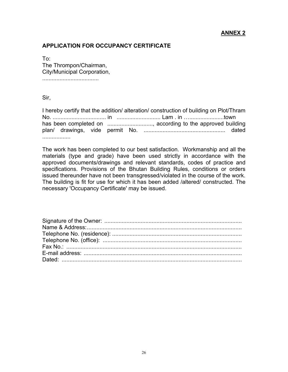#### **ANNEX 2**

#### **APPLICATION FOR OCCUPANCY CERTIFICATE**

To: The Thrompon/Chairman, City/Municipal Corporation,

....................................

Sir,

I hereby certify that the addition/ alteration/ construction of building on Plot/Thram No. .................................. in ............................ Lam . in …......................town has been completed on .................................. according to the approved building plan/ drawings, vide permit No. .................................................... dated ..................

The work has been completed to our best satisfaction. Workmanship and all the materials (type and grade) have been used strictly in accordance with the approved documents/drawings and relevant standards, codes of practice and specifications. Provisions of the Bhutan Building Rules, conditions or orders issued thereunder have not been transgressed/violated in the course of the work. The building is fit for use for which it has been added /altered/ constructed. The necessary 'Occupancy Certificate' may be issued.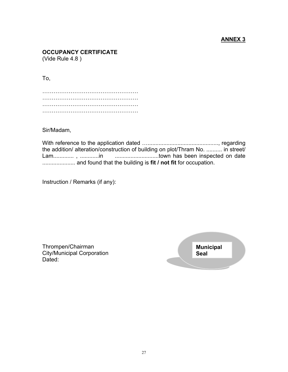#### **ANNEX 3**

### **OCCUPANCY CERTIFICATE**

(Vide Rule 4.8 )

To,

…………………………………………… …………………………………………… …………………………………………… ……………………………………………

Sir/Madam,

With reference to the application dated …............................................., regarding the addition/ alteration/construction of building on plot/Thram No. .......... in street/ Lam............. , ............in ............................town has been inspected on date ..................... and found that the building is **fit / not fit** for occupation.

Instruction / Remarks (if any):

Thrompen/Chairman City/Municipal Corporation Dated:

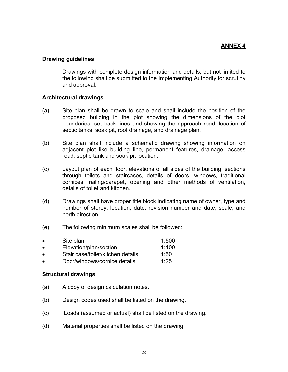#### **Drawing guidelines**

Drawings with complete design information and details, but not limited to the following shall be submitted to the Implementing Authority for scrutiny and approval.

#### **Architectural drawings**

- (a) Site plan shall be drawn to scale and shall include the position of the proposed building in the plot showing the dimensions of the plot boundaries, set back lines and showing the approach road, location of septic tanks, soak pit, roof drainage, and drainage plan.
- (b) Site plan shall include a schematic drawing showing information on adjacent plot like building line, permanent features, drainage, access road, septic tank and soak pit location.
- (c) Layout plan of each floor, elevations of all sides of the building, sections through toilets and staircases, details of doors, windows, traditional cornices, railing/parapet, opening and other methods of ventilation, details of toilet and kitchen.
- (d) Drawings shall have proper title block indicating name of owner, type and number of storey, location, date, revision number and date, scale, and north direction.
- (e) The following minimum scales shall be followed:

| $\bullet$ | Site plan                         | 1:500 |
|-----------|-----------------------------------|-------|
| $\bullet$ | Elevation/plan/section            | 1:100 |
| $\bullet$ | Stair case/toilet/kitchen details | 1:50  |
| $\bullet$ | Door/windows/cornice details      | 1:25  |

#### **Structural drawings**

- (a) A copy of design calculation notes.
- (b) Design codes used shall be listed on the drawing.
- (c) Loads (assumed or actual) shall be listed on the drawing.
- (d) Material properties shall be listed on the drawing.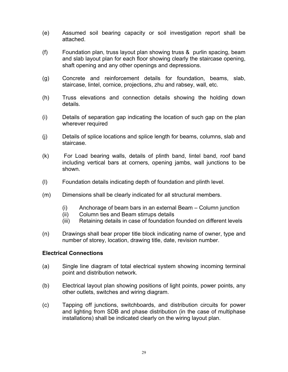- (e) Assumed soil bearing capacity or soil investigation report shall be attached.
- (f) Foundation plan, truss layout plan showing truss & purlin spacing, beam and slab layout plan for each floor showing clearly the staircase opening, shaft opening and any other openings and depressions.
- (g) Concrete and reinforcement details for foundation, beams, slab, staircase, lintel, cornice, projections, zhu and rabsey, wall, etc.
- (h) Truss elevations and connection details showing the holding down details.
- (i) Details of separation gap indicating the location of such gap on the plan wherever required
- (j) Details of splice locations and splice length for beams, columns, slab and staircase.
- (k) For Load bearing walls, details of plinth band, lintel band, roof band including vertical bars at corners, opening jambs, wall junctions to be shown.
- (l) Foundation details indicating depth of foundation and plinth level.
- (m) Dimensions shall be clearly indicated for all structural members.
	- (i) Anchorage of beam bars in an external Beam Column junction
	- (ii) Column ties and Beam stirrups details
	- (iii) Retaining details in case of foundation founded on different levels
- (n) Drawings shall bear proper title block indicating name of owner, type and number of storey, location, drawing title, date, revision number.

#### **Electrical Connections**

- (a) Single line diagram of total electrical system showing incoming terminal point and distribution network.
- (b) Electrical layout plan showing positions of light points, power points, any other outlets, switches and wiring diagram.
- (c) Tapping off junctions, switchboards, and distribution circuits for power and lighting from SDB and phase distribution (in the case of multiphase installations) shall be indicated clearly on the wiring layout plan.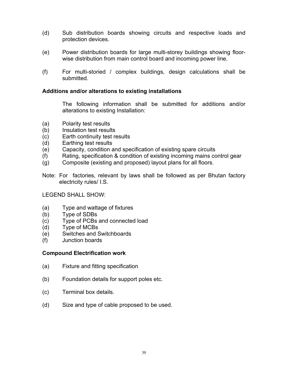- (d) Sub distribution boards showing circuits and respective loads and protection devices.
- (e) Power distribution boards for large multi-storey buildings showing floorwise distribution from main control board and incoming power line.
- (f) For multi-storied / complex buildings, design calculations shall be submitted.

#### **Additions and/or alterations to existing installations**

The following information shall be submitted for additions and/or alterations to existing Installation:

- (a) Polarity test results
- (b) Insulation test results
- (c) Earth continuity test results
- (d) Earthing test results
- (e) Capacity, condition and specification of existing spare circuits
- (f) Rating, specification & condition of existing incoming mains control gear
- (g) Composite (existing and proposed) layout plans for all floors.
- Note: For factories, relevant by laws shall be followed as per Bhutan factory electricity rules/ I.S.

#### LEGEND SHALL SHOW:

- (a) Type and wattage of fixtures
- (b) Type of SDBs
- (c) Type of PCBs and connected load
- (d) Type of MCBs
- (e) Switches and Switchboards
- (f) Junction boards

#### **Compound Electrification work**

- (a) Fixture and fitting specification
- (b) Foundation details for support poles etc.
- (c) Terminal box details.
- (d) Size and type of cable proposed to be used.